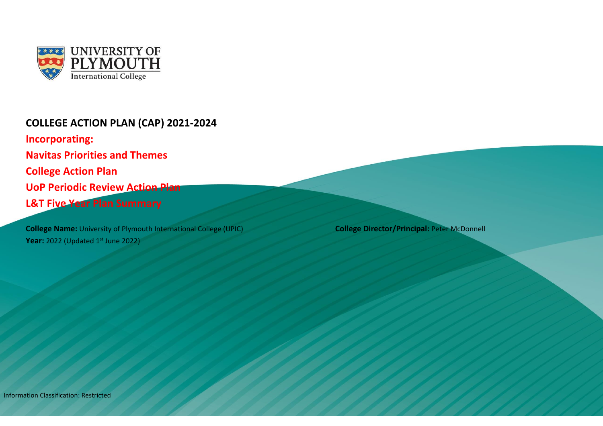

## **COLLEGE ACTION PLAN (CAP) 2021-2024**

**Incorporating: Navitas Priorities and Themes College Action Plan UoP Periodic Review Action Plan L&T Five Year Plan Summary** 

**College Name:** University of Plymouth International College (UPIC) **College Director/Principal:** Peter McDonnell **Year:** 2022 (Updated 1st June 2022)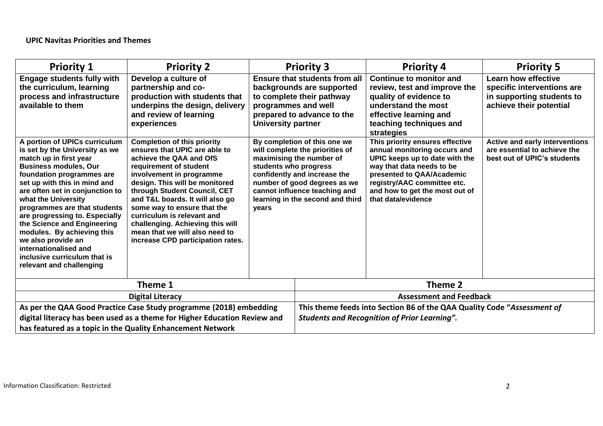| <b>Priority 1</b>                                                                                                                                                                                                                                                                                                                                                                                                                                                                          | <b>Priority 2</b>                                                                                                                                                                                                                                                                                                                                                                                                                 |                                                                                                                                                                                                                                                                    | <b>Priority 3</b> | <b>Priority 4</b>                                                                                                                                                                                                                                  | <b>Priority 5</b>                                                                                    |  |  |  |  |  |  |                                                                                                                                                                                    |                                                                                                                  |
|--------------------------------------------------------------------------------------------------------------------------------------------------------------------------------------------------------------------------------------------------------------------------------------------------------------------------------------------------------------------------------------------------------------------------------------------------------------------------------------------|-----------------------------------------------------------------------------------------------------------------------------------------------------------------------------------------------------------------------------------------------------------------------------------------------------------------------------------------------------------------------------------------------------------------------------------|--------------------------------------------------------------------------------------------------------------------------------------------------------------------------------------------------------------------------------------------------------------------|-------------------|----------------------------------------------------------------------------------------------------------------------------------------------------------------------------------------------------------------------------------------------------|------------------------------------------------------------------------------------------------------|--|--|--|--|--|--|------------------------------------------------------------------------------------------------------------------------------------------------------------------------------------|------------------------------------------------------------------------------------------------------------------|
| <b>Engage students fully with</b><br>the curriculum, learning<br>process and infrastructure<br>available to them                                                                                                                                                                                                                                                                                                                                                                           | Develop a culture of<br>partnership and co-<br>production with students that<br>underpins the design, delivery<br>and review of learning<br>experiences                                                                                                                                                                                                                                                                           | <b>Ensure that students from all</b><br>backgrounds are supported<br>to complete their pathway<br>programmes and well<br>prepared to advance to the<br><b>University partner</b>                                                                                   |                   |                                                                                                                                                                                                                                                    |                                                                                                      |  |  |  |  |  |  | <b>Continue to monitor and</b><br>review, test and improve the<br>quality of evidence to<br>understand the most<br>effective learning and<br>teaching techniques and<br>strategies | <b>Learn how effective</b><br>specific interventions are<br>in supporting students to<br>achieve their potential |
| A portion of UPICs curriculum<br>is set by the University as we<br>match up in first year<br><b>Business modules, Our</b><br>foundation programmes are<br>set up with this in mind and<br>are often set in conjunction to<br>what the University<br>programmes are that students<br>are progressing to. Especially<br>the Science and Engineering<br>modules. By achieving this<br>we also provide an<br>internationalised and<br>inclusive curriculum that is<br>relevant and challenging | <b>Completion of this priority</b><br>ensures that UPIC are able to<br>achieve the QAA and OfS<br>requirement of student<br>involvement in programme<br>design. This will be monitored<br>through Student Council, CET<br>and T&L boards. It will also go<br>some way to ensure that the<br>curriculum is relevant and<br>challenging. Achieving this will<br>mean that we will also need to<br>increase CPD participation rates. | By completion of this one we<br>will complete the priorities of<br>maximising the number of<br>students who progress<br>confidently and increase the<br>number of good degrees as we<br>cannot influence teaching and<br>learning in the second and third<br>years |                   | This priority ensures effective<br>annual monitoring occurs and<br>UPIC keeps up to date with the<br>way that data needs to be<br>presented to QAA/Academic<br>registry/AAC committee etc.<br>and how to get the most out of<br>that data/evidence | <b>Active and early interventions</b><br>are essential to achieve the<br>best out of UPIC's students |  |  |  |  |  |  |                                                                                                                                                                                    |                                                                                                                  |
|                                                                                                                                                                                                                                                                                                                                                                                                                                                                                            | Theme 1                                                                                                                                                                                                                                                                                                                                                                                                                           |                                                                                                                                                                                                                                                                    |                   | Theme 2                                                                                                                                                                                                                                            |                                                                                                      |  |  |  |  |  |  |                                                                                                                                                                                    |                                                                                                                  |
|                                                                                                                                                                                                                                                                                                                                                                                                                                                                                            | <b>Digital Literacy</b>                                                                                                                                                                                                                                                                                                                                                                                                           |                                                                                                                                                                                                                                                                    |                   | <b>Assessment and Feedback</b>                                                                                                                                                                                                                     |                                                                                                      |  |  |  |  |  |  |                                                                                                                                                                                    |                                                                                                                  |
|                                                                                                                                                                                                                                                                                                                                                                                                                                                                                            | As per the QAA Good Practice Case Study programme (2018) embedding                                                                                                                                                                                                                                                                                                                                                                |                                                                                                                                                                                                                                                                    |                   | This theme feeds into Section B6 of the QAA Quality Code "Assessment of                                                                                                                                                                            |                                                                                                      |  |  |  |  |  |  |                                                                                                                                                                                    |                                                                                                                  |
|                                                                                                                                                                                                                                                                                                                                                                                                                                                                                            | digital literacy has been used as a theme for Higher Education Review and<br>has featured as a topic in the Quality Enhancement Network                                                                                                                                                                                                                                                                                           |                                                                                                                                                                                                                                                                    |                   | <b>Students and Recognition of Prior Learning".</b>                                                                                                                                                                                                |                                                                                                      |  |  |  |  |  |  |                                                                                                                                                                                    |                                                                                                                  |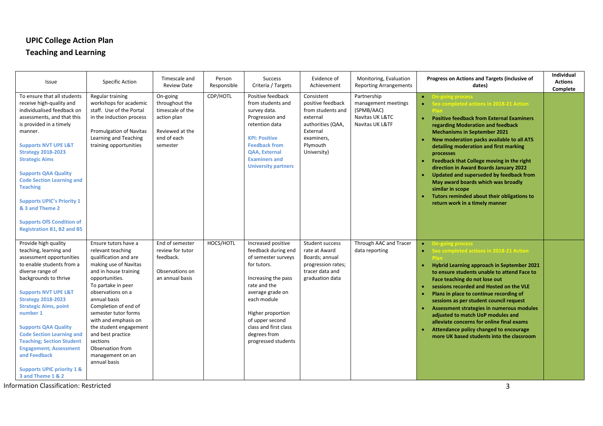#### **UPIC College Action Plan**

### **Teaching and Learning**

| Issue                                                                                                                                                                                                                                                                                                                                                                                                                                                                                  | <b>Specific Action</b>                                                                                                                                                                                                                                                                                                                                                                       | Timescale and<br><b>Review Date</b>                                                                         | Person<br>Responsible | <b>Success</b><br>Criteria / Targets                                                                                                                                                                                                                              | Evidence of<br>Achievement                                                                                                                 | Monitoring, Evaluation<br><b>Reporting Arrangements</b>                                | Progress on Actions and Targets (inclusive of<br>dates)                                                                                                                                                                                                                                                                                                                                                                                                                                                                                                                                                      | Individual<br><b>Actions</b><br>Complete |
|----------------------------------------------------------------------------------------------------------------------------------------------------------------------------------------------------------------------------------------------------------------------------------------------------------------------------------------------------------------------------------------------------------------------------------------------------------------------------------------|----------------------------------------------------------------------------------------------------------------------------------------------------------------------------------------------------------------------------------------------------------------------------------------------------------------------------------------------------------------------------------------------|-------------------------------------------------------------------------------------------------------------|-----------------------|-------------------------------------------------------------------------------------------------------------------------------------------------------------------------------------------------------------------------------------------------------------------|--------------------------------------------------------------------------------------------------------------------------------------------|----------------------------------------------------------------------------------------|--------------------------------------------------------------------------------------------------------------------------------------------------------------------------------------------------------------------------------------------------------------------------------------------------------------------------------------------------------------------------------------------------------------------------------------------------------------------------------------------------------------------------------------------------------------------------------------------------------------|------------------------------------------|
| To ensure that all students<br>receive high-quality and<br>individualised feedback on<br>assessments, and that this<br>is provided in a timely<br>manner.<br><b>Supports NVT UPE L&amp;T</b><br><b>Strategy 2018-2023</b><br><b>Strategic Aims</b><br><b>Supports QAA Quality</b><br><b>Code Section Learning and</b><br><b>Teaching</b><br><b>Supports UPIC's Priority 1</b><br>& 3 and Theme 2<br><b>Supports OfS Condition of</b><br><b>Registration B1, B2 and B5</b>              | Regular training<br>workshops for academic<br>staff. Use of the Portal<br>in the induction process<br><b>Promulgation of Navitas</b><br>Learning and Teaching<br>training opportunities                                                                                                                                                                                                      | On-going<br>throughout the<br>timescale of the<br>action plan<br>Reviewed at the<br>end of each<br>semester | CDP/HOTL              | Positive feedback<br>from students and<br>survey data.<br>Progression and<br>retention data<br><b>KPI: Positive</b><br><b>Feedback from</b><br><b>QAA, External</b><br><b>Examiners and</b><br><b>University partners</b>                                         | Consistent<br>positive feedback<br>from students and<br>external<br>authorities (QAA,<br>External<br>examiners,<br>Plymouth<br>University) | Partnership<br>management meetings<br>(SPMB/AAC)<br>Navitas UK L&TC<br>Navitas UK L&TF | <b>On-going process</b><br>$\bullet$<br>See completed actions in 2018-21 Action<br><b>Positive feedback from External Examiners</b><br>$\bullet$<br>regarding Moderation and feedback<br><b>Mechanisms in September 2021</b><br>New moderation packs available to all ATS<br>detailing moderation and first marking<br>processes<br>Feedback that College moving in the right<br>direction in Award Boards January 2022<br>Updated and superseded by feedback from<br>May award boards which was broadly<br>similar in scope<br>Tutors reminded about their obligations to<br>return work in a timely manner |                                          |
| Provide high quality<br>teaching, learning and<br>assessment opportunities<br>to enable students from a<br>diverse range of<br>backgrounds to thrive<br><b>Supports NVT UPE L&amp;T</b><br><b>Strategy 2018-2023</b><br><b>Strategic Aims, point</b><br>number 1<br><b>Supports QAA Quality</b><br><b>Code Section Learning and</b><br><b>Teaching; Section Student</b><br><b>Engagement; Assessment</b><br>and Feedback<br><b>Supports UPIC priority 1 &amp;</b><br>3 and Theme 1 & 2 | Ensure tutors have a<br>relevant teaching<br>qualification and are<br>making use of Navitas<br>and in house training<br>opportunities.<br>To partake in peer<br>observations on a<br>annual basis<br>Completion of end of<br>semester tutor forms<br>with and emphasis on<br>the student engagement<br>and best practice<br>sections<br>Observation from<br>management on an<br>annual basis | End of semester<br>review for tutor<br>feedback.<br>Observations on<br>an annual basis                      | HOCS/HOTL             | Increased positive<br>feedback during end<br>of semester surveys<br>for tutors.<br>Increasing the pass<br>rate and the<br>average grade on<br>each module<br>Higher proportion<br>of upper second<br>class and first class<br>degrees from<br>progressed students | <b>Student success</b><br>rate at Award<br>Boards; annual<br>progression rates;<br>tracer data and<br>graduation data                      | Through AAC and Tracer<br>data reporting                                               | <b>On-going proces</b><br>$\bullet$<br>See completed actions in 2018-21 Action<br>$\bullet$<br>Hybrid Learning approach in September 2021<br>to ensure students unable to attend Face to<br>Face teaching do not lose out<br>sessions recorded and Hosted on the VLE<br>Plans in place to continue recording of<br>sessions as per student council request<br>Assessment strategies in numerous modules<br>adjusted to match UoP modules and<br>alleviate concerns for online final exams<br>Attendance policy changed to encourage<br>more UK based students into the classroom                             |                                          |

Information Classification: Restricted 3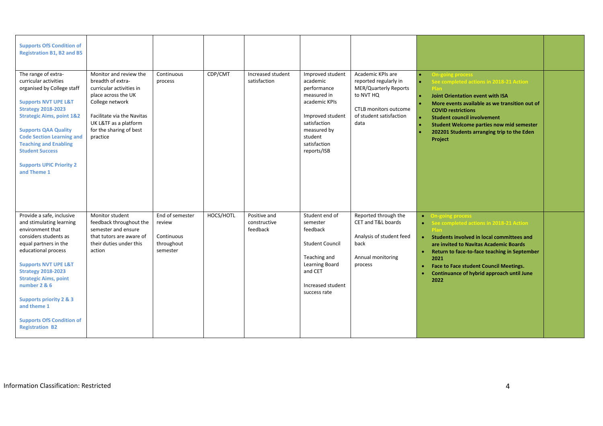| <b>Supports OfS Condition of</b><br><b>Registration B1, B2 and B5</b>                                                                                                                                                                                                                                                                                                                 |                                                                                                                                                                                                                 |                                                                   |           |                                          |                                                                                                                                                                          |                                                                                                                                                     |                                                                                                                                                                                                                                                                                                                                               |  |
|---------------------------------------------------------------------------------------------------------------------------------------------------------------------------------------------------------------------------------------------------------------------------------------------------------------------------------------------------------------------------------------|-----------------------------------------------------------------------------------------------------------------------------------------------------------------------------------------------------------------|-------------------------------------------------------------------|-----------|------------------------------------------|--------------------------------------------------------------------------------------------------------------------------------------------------------------------------|-----------------------------------------------------------------------------------------------------------------------------------------------------|-----------------------------------------------------------------------------------------------------------------------------------------------------------------------------------------------------------------------------------------------------------------------------------------------------------------------------------------------|--|
| The range of extra-<br>curricular activities<br>organised by College staff<br><b>Supports NVT UPE L&amp;T</b><br><b>Strategy 2018-2023</b><br><b>Strategic Aims, point 1&amp;2</b><br><b>Supports QAA Quality</b><br><b>Code Section Learning and</b><br><b>Teaching and Enabling</b><br><b>Student Success</b><br><b>Supports UPIC Priority 2</b><br>and Theme 1                     | Monitor and review the<br>breadth of extra-<br>curricular activities in<br>place across the UK<br>College network<br>Facilitate via the Navitas<br>UK L&TF as a platform<br>for the sharing of best<br>practice | Continuous<br>process                                             | CDP/CMT   | Increased student<br>satisfaction        | Improved student<br>academic<br>performance<br>measured in<br>academic KPIs<br>Improved student<br>satisfaction<br>measured by<br>student<br>satisfaction<br>reports/ISB | Academic KPIs are<br>reported regularly in<br><b>MER/Quarterly Reports</b><br>to NVT HQ<br>CTLB monitors outcome<br>of student satisfaction<br>data | <b>On-going process</b><br>See completed actions in 2018-21 Action<br><b>Joint Orientation event with ISA</b><br>More events available as we transition out of<br><b>COVID restrictions</b><br><b>Student council involvement</b><br><b>Student Welcome parties now mid semester</b><br>202201 Students arranging trip to the Eden<br>Project |  |
| Provide a safe, inclusive<br>and stimulating learning<br>environment that<br>considers students as<br>equal partners in the<br>educational process<br><b>Supports NVT UPE L&amp;T</b><br><b>Strategy 2018-2023</b><br><b>Strategic Aims, point</b><br>number 2 & 6<br><b>Supports priority 2 &amp; 3</b><br>and theme 1<br><b>Supports OfS Condition of</b><br><b>Registration B2</b> | Monitor student<br>feedback throughout the<br>semester and ensure<br>that tutors are aware of<br>their duties under this<br>action                                                                              | End of semester<br>review<br>Continuous<br>throughout<br>semester | HOCS/HOTL | Positive and<br>constructive<br>feedback | Student end of<br>semester<br>feedback<br><b>Student Council</b><br>Teaching and<br>Learning Board<br>and CET<br>Increased student<br>success rate                       | Reported through the<br>CET and T&L boards<br>Analysis of student feed<br>back<br>Annual monitoring<br>process                                      | <b>On-going process</b><br>$\bullet$<br>See completed actions in 2018-21 Action<br>Students involved in local committees and<br>are invited to Navitas Academic Boards<br>Return to face-to-face teaching in September<br>2021<br><b>Face to Face student Council Meetings.</b><br>Continuance of hybrid approach until June<br>2022          |  |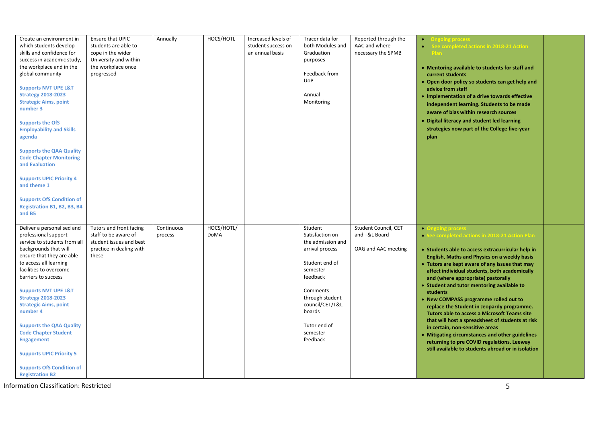| Create an environment in<br>which students develop<br>skills and confidence for<br>success in academic study,<br>the workplace and in the<br>global community<br><b>Supports NVT UPE L&amp;T</b><br><b>Strategy 2018-2023</b><br><b>Strategic Aims, point</b><br>number 3<br><b>Supports the OfS</b><br><b>Employability and Skills</b><br>agenda<br><b>Supports the QAA Quality</b><br><b>Code Chapter Monitoring</b><br>and Evaluation<br><b>Supports UPIC Priority 4</b><br>and theme 1<br><b>Supports OfS Condition of</b><br>Registration B1, B2, B3, B4 | Ensure that UPIC<br>students are able to<br>cope in the wider<br>University and within<br>the workplace once<br>progressed | Annually              | HOCS/HOTL                 | Increased levels of<br>student success on<br>an annual basis | Tracer data for<br>both Modules and<br>Graduation<br>purposes<br>Feedback from<br><b>UoP</b><br>Annual<br>Monitoring                                                                                             | Reported through the<br>AAC and where<br>necessary the SPMB  | <b>Ongoing process</b><br>$\bullet$<br>See completed actions in 2018-21 Action<br>Plan<br>• Mentoring available to students for staff and<br>current students<br>• Open door policy so students can get help and<br>advice from staff<br>· Implementation of a drive towards effective<br>independent learning. Students to be made<br>aware of bias within research sources<br>• Digital literacy and student led learning<br>strategies now part of the College five-year<br>plan                                                                                                                                                                                                                                                                                            |  |
|---------------------------------------------------------------------------------------------------------------------------------------------------------------------------------------------------------------------------------------------------------------------------------------------------------------------------------------------------------------------------------------------------------------------------------------------------------------------------------------------------------------------------------------------------------------|----------------------------------------------------------------------------------------------------------------------------|-----------------------|---------------------------|--------------------------------------------------------------|------------------------------------------------------------------------------------------------------------------------------------------------------------------------------------------------------------------|--------------------------------------------------------------|--------------------------------------------------------------------------------------------------------------------------------------------------------------------------------------------------------------------------------------------------------------------------------------------------------------------------------------------------------------------------------------------------------------------------------------------------------------------------------------------------------------------------------------------------------------------------------------------------------------------------------------------------------------------------------------------------------------------------------------------------------------------------------|--|
| and B5<br>Deliver a personalised and<br>professional support<br>service to students from all<br>backgrounds that will<br>ensure that they are able<br>to access all learning<br>facilities to overcome<br>barriers to success<br><b>Supports NVT UPE L&amp;T</b><br><b>Strategy 2018-2023</b><br><b>Strategic Aims, point</b><br>number 4<br><b>Supports the QAA Quality</b><br><b>Code Chapter Student</b><br><b>Engagement</b><br><b>Supports UPIC Priority 5</b><br><b>Supports OfS Condition of</b><br><b>Registration B2</b>                             | Tutors and front facing<br>staff to be aware of<br>student issues and best<br>practice in dealing with<br>these            | Continuous<br>process | HOCS/HOTL/<br><b>DoMA</b> |                                                              | Student<br>Satisfaction on<br>the admission and<br>arrival process<br>Student end of<br>semester<br>feedback<br>Comments<br>through student<br>council/CET/T&L<br>boards<br>Tutor end of<br>semester<br>feedback | Student Council, CET<br>and T&L Board<br>OAG and AAC meeting | <b>• Ongoing process</b><br>• See completed actions in 2018-21 Action Plan<br>• Students able to access extracurricular help in<br>English, Maths and Physics on a weekly basis<br>• Tutors are kept aware of any issues that may<br>affect individual students, both academically<br>and (where appropriate) pastorally<br>• Student and tutor mentoring available to<br>students<br>• New COMPASS programme rolled out to<br>replace the Student in Jeopardy programme.<br><b>Tutors able to access a Microsoft Teams site</b><br>that will host a spreadsheet of students at risk<br>in certain, non-sensitive areas<br>• Mitigating circumstances and other guidelines<br>returning to pre COVID regulations. Leeway<br>still available to students abroad or in isolation |  |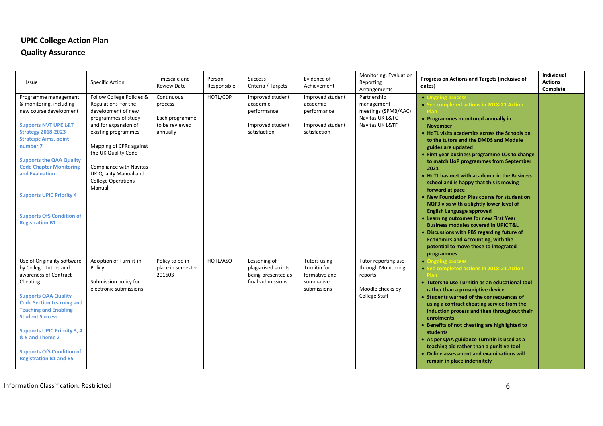#### **UPIC College Action Plan**

#### **Quality Assurance**

| Issue                                                                                                                                                                                                                                                                                                                                                                         | <b>Specific Action</b>                                                                                                                                                                                                                                                                    | Timescale and<br><b>Review Date</b>                                   | Person<br>Responsible | <b>Success</b><br>Criteria / Targets                                            | Evidence of<br>Achievement                                                       | Monitoring, Evaluation<br>Reporting<br>Arrangements                                       | Progress on Actions and Targets (inclusive of<br>dates)                                                                                                                                                                                                                                                                                                                                                                                                                                                                                                                                                                                                                                                                                                                                                                                | Individual<br><b>Actions</b><br>Complete |
|-------------------------------------------------------------------------------------------------------------------------------------------------------------------------------------------------------------------------------------------------------------------------------------------------------------------------------------------------------------------------------|-------------------------------------------------------------------------------------------------------------------------------------------------------------------------------------------------------------------------------------------------------------------------------------------|-----------------------------------------------------------------------|-----------------------|---------------------------------------------------------------------------------|----------------------------------------------------------------------------------|-------------------------------------------------------------------------------------------|----------------------------------------------------------------------------------------------------------------------------------------------------------------------------------------------------------------------------------------------------------------------------------------------------------------------------------------------------------------------------------------------------------------------------------------------------------------------------------------------------------------------------------------------------------------------------------------------------------------------------------------------------------------------------------------------------------------------------------------------------------------------------------------------------------------------------------------|------------------------------------------|
| Programme management<br>& monitoring, including<br>new course development<br><b>Supports NVT UPE L&amp;T</b><br><b>Strategy 2018-2023</b><br><b>Strategic Aims, point</b><br>number 7<br><b>Supports the QAA Quality</b><br><b>Code Chapter Monitoring</b><br>and Evaluation<br><b>Supports UPIC Priority 4</b><br><b>Supports OfS Condition of</b><br><b>Registration B1</b> | Follow College Policies &<br>Regulations for the<br>development of new<br>programmes of study<br>and for expansion of<br>existing programmes<br>Mapping of CPRs against<br>the UK Quality Code<br>Compliance with Navitas<br>UK Quality Manual and<br><b>College Operations</b><br>Manual | Continuous<br>process<br>Each programme<br>to be reviewed<br>annually | HOTL/CDP              | Improved student<br>academic<br>performance<br>Improved student<br>satisfaction | Improved student<br>academic<br>performance<br>Improved student<br>satisfaction  | Partnership<br>management<br>meetings (SPMB/AAC)<br>Navitas UK L&TC<br>Navitas UK L&TF    | • Ongoing process<br>• See completed actions in 2018-21 Action<br>• Programmes monitored annually in<br><b>November</b><br>• HoTL visits academics across the Schools on<br>to the tutors and the DMDS and Module<br>guides are updated<br>• First year business programme LOs to change<br>to match UoP programmes from September<br>2021<br>• HoTL has met with academic in the Business<br>school and is happy that this is moving<br>forward at pace<br>• New Foundation Plus course for student on<br>NQF3 visa with a slightly lower level of<br><b>English Language approved</b><br>• Learning outcomes for new First Year<br><b>Business modules covered in UPIC T&amp;L</b><br>• Discussions with PBS regarding future of<br><b>Economics and Accounting, with the</b><br>potential to move these to integrated<br>programmes |                                          |
| Use of Originality software<br>by College Tutors and<br>awareness of Contract<br>Cheating<br><b>Supports QAA Quality</b><br><b>Code Section Learning and</b><br><b>Teaching and Enabling</b><br><b>Student Success</b><br><b>Supports UPIC Priority 3, 4</b><br>& 5 and Theme 2<br><b>Supports OfS Condition of</b><br><b>Registration B1 and B5</b>                          | Adoption of Turn-it-in<br>Policy<br>Submission policy for<br>electronic submissions                                                                                                                                                                                                       | Policy to be in<br>place in semester<br>201603                        | HOTL/ASO              | Lessening of<br>plagiarised scripts<br>being presented as<br>final submissions  | <b>Tutors using</b><br>Turnitin for<br>formative and<br>summative<br>submissions | Tutor reporting use<br>through Monitoring<br>reports<br>Moodle checks by<br>College Staff | <b>• Ongoing process</b><br>• See completed actions in 2018-21 Action<br>• Tutors to use Turnitin as an educational tool<br>rather than a proscriptive device<br>• Students warned of the consequences of<br>using a contract cheating service from the<br>Induction process and then throughout their<br>enrolments<br>Benefits of not cheating are highlighted to<br>students<br>• As per QAA guidance Turnitin is used as a<br>teaching aid rather than a punitive tool<br>• Online assessment and examinations will<br>remain in place indefinitely                                                                                                                                                                                                                                                                                |                                          |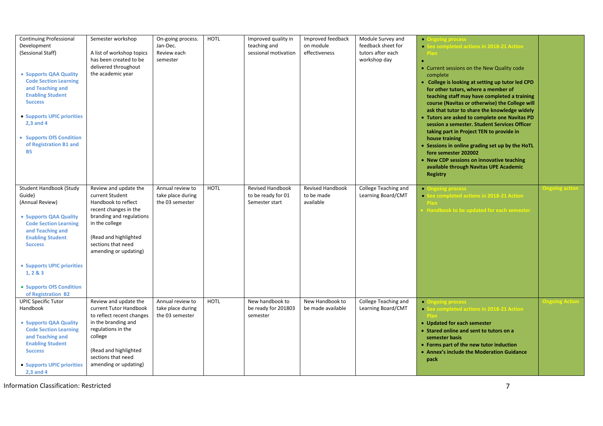| <b>Continuing Professional</b><br>Development<br>(Sessional Staff)<br>• Supports QAA Quality<br><b>Code Section Learning</b><br>and Teaching and<br><b>Enabling Student</b><br><b>Success</b><br>• Supports UPIC priorities<br>2.3 and 4<br>• Supports OfS Condition<br>of Registration B1 and<br><b>B5</b> | Semester workshop<br>A list of workshop topics<br>has been created to be<br>delivered throughout<br>the academic year                                                                                          | On-going process.<br>Jan-Dec.<br>Review each<br>semester | <b>HOTL</b> | Improved quality in<br>teaching and<br>sessional motivation     | Improved feedback<br>on module<br>effectiveness    | Module Survey and<br>feedback sheet for<br>tutors after each<br>workshop day | <b>• Ongoing process</b><br>See completed actions in 2018-21 Action<br><b>Plan</b><br>• Current sessions on the New Quality code<br>complete<br>• College is looking at setting up tutor led CPD<br>for other tutors, where a member of<br>teaching staff may have completed a training<br>course (Navitas or otherwise) the College will<br>ask that tutor to share the knowledge widely<br>• Tutors are asked to complete one Navitas PD<br>session a semester. Student Services Officer<br>taking part in Project TEN to provide in<br>house training<br>• Sessions in online grading set up by the HoTL<br>fore semester 202002<br>• New CDP sessions on innovative teaching<br>available through Navitas UPE Academic<br><b>Registry</b> |                      |
|-------------------------------------------------------------------------------------------------------------------------------------------------------------------------------------------------------------------------------------------------------------------------------------------------------------|----------------------------------------------------------------------------------------------------------------------------------------------------------------------------------------------------------------|----------------------------------------------------------|-------------|-----------------------------------------------------------------|----------------------------------------------------|------------------------------------------------------------------------------|-----------------------------------------------------------------------------------------------------------------------------------------------------------------------------------------------------------------------------------------------------------------------------------------------------------------------------------------------------------------------------------------------------------------------------------------------------------------------------------------------------------------------------------------------------------------------------------------------------------------------------------------------------------------------------------------------------------------------------------------------|----------------------|
| Student Handbook (Study<br>Guide)<br>(Annual Review)<br>• Supports QAA Quality<br><b>Code Section Learning</b><br>and Teaching and<br><b>Enabling Student</b><br><b>Success</b><br>• Supports UPIC priorities<br>1, 283<br>• Supports OfS Condition<br>of Registration B2                                   | Review and update the<br>current Student<br>Handbook to reflect<br>recent changes in the<br>branding and regulations<br>in the college<br>(Read and highlighted<br>sections that need<br>amending or updating) | Annual review to<br>take place during<br>the 03 semester | <b>HOTL</b> | <b>Revised Handbook</b><br>to be ready for 01<br>Semester start | <b>Revised Handbook</b><br>to be made<br>available | College Teaching and<br>Learning Board/CMT                                   | <b>• Ongoing process</b><br>• See completed actions in 2018-21 Action<br>Handbook to be updated for each semester                                                                                                                                                                                                                                                                                                                                                                                                                                                                                                                                                                                                                             | <b>Ingoing</b> actio |
| <b>UPIC Specific Tutor</b><br>Handbook<br>• Supports QAA Quality<br><b>Code Section Learning</b><br>and Teaching and<br><b>Enabling Student</b><br><b>Success</b><br>• Supports UPIC priorities<br>$2,3$ and 4                                                                                              | Review and update the<br>current Tutor Handbook<br>to reflect recent changes<br>in the branding and<br>regulations in the<br>college<br>(Read and highlighted<br>sections that need<br>amending or updating)   | Annual review to<br>take place during<br>the 03 semester | HOTL        | New handbook to<br>be ready for 201803<br>semester              | New Handbook to<br>be made available               | College Teaching and<br>Learning Board/CMT                                   | • Ongoing process<br>• See completed actions in 2018-21 Action<br>• Updated for each semester<br>• Stared online and sent to tutors on a<br>semester basis<br>• Forms part of the new tutor induction<br>• Annex's include the Moderation Guidance<br>pack                                                                                                                                                                                                                                                                                                                                                                                                                                                                                    |                      |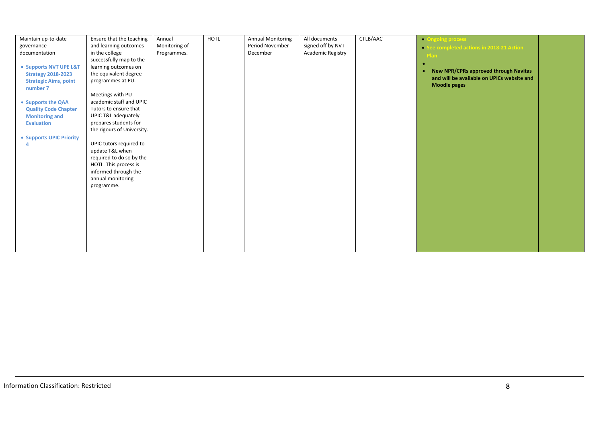| Maintain up-to-date          | Ensure that the teaching   | Annual        | HOTL | <b>Annual Monitoring</b> | All documents     | CTLB/AAC |                                            |  |
|------------------------------|----------------------------|---------------|------|--------------------------|-------------------|----------|--------------------------------------------|--|
|                              |                            |               |      |                          |                   |          | • Ongoing process                          |  |
| governance                   | and learning outcomes      | Monitoring of |      | Period November -        | signed off by NVT |          | • See completed actions in 2018-21 Action  |  |
| documentation                | in the college             | Programmes.   |      | December                 | Academic Registry |          | Plan                                       |  |
|                              | successfully map to the    |               |      |                          |                   |          |                                            |  |
| • Supports NVT UPE L&T       | learning outcomes on       |               |      |                          |                   |          |                                            |  |
| <b>Strategy 2018-2023</b>    | the equivalent degree      |               |      |                          |                   |          | New NPR/CPRs approved through Navitas      |  |
| <b>Strategic Aims, point</b> | programmes at PU.          |               |      |                          |                   |          | and will be available on UPICs website and |  |
| number 7                     |                            |               |      |                          |                   |          | <b>Moodle pages</b>                        |  |
|                              | Meetings with PU           |               |      |                          |                   |          |                                            |  |
|                              | academic staff and UPIC    |               |      |                          |                   |          |                                            |  |
| • Supports the QAA           |                            |               |      |                          |                   |          |                                            |  |
| <b>Quality Code Chapter</b>  | Tutors to ensure that      |               |      |                          |                   |          |                                            |  |
| <b>Monitoring and</b>        | UPIC T&L adequately        |               |      |                          |                   |          |                                            |  |
| <b>Evaluation</b>            | prepares students for      |               |      |                          |                   |          |                                            |  |
|                              | the rigours of University. |               |      |                          |                   |          |                                            |  |
| • Supports UPIC Priority     |                            |               |      |                          |                   |          |                                            |  |
|                              | UPIC tutors required to    |               |      |                          |                   |          |                                            |  |
|                              | update T&L when            |               |      |                          |                   |          |                                            |  |
|                              | required to do so by the   |               |      |                          |                   |          |                                            |  |
|                              | HOTL. This process is      |               |      |                          |                   |          |                                            |  |
|                              | informed through the       |               |      |                          |                   |          |                                            |  |
|                              | annual monitoring          |               |      |                          |                   |          |                                            |  |
|                              | programme.                 |               |      |                          |                   |          |                                            |  |
|                              |                            |               |      |                          |                   |          |                                            |  |
|                              |                            |               |      |                          |                   |          |                                            |  |
|                              |                            |               |      |                          |                   |          |                                            |  |
|                              |                            |               |      |                          |                   |          |                                            |  |
|                              |                            |               |      |                          |                   |          |                                            |  |
|                              |                            |               |      |                          |                   |          |                                            |  |
|                              |                            |               |      |                          |                   |          |                                            |  |
|                              |                            |               |      |                          |                   |          |                                            |  |
|                              |                            |               |      |                          |                   |          |                                            |  |
|                              |                            |               |      |                          |                   |          |                                            |  |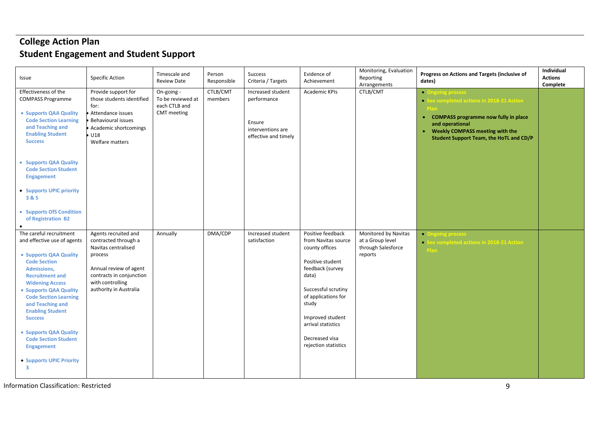# **College Action Plan Student Engagement and Student Support**

| Issue                                                                                                                                                                                                                                                                                                                                                                                                                           | <b>Specific Action</b>                                                                                                                                                             | Timescale and<br><b>Review Date</b>                             | Person<br>Responsible | Success<br>Criteria / Targets                                                           | Evidence of<br>Achievement                                                                                                                                                                                                                             | Monitoring, Evaluation<br>Reporting<br>Arrangements                       | Progress on Actions and Targets (inclusive of<br>dates)                                                                                                                                                                              | Individual<br><b>Actions</b><br>Complete |
|---------------------------------------------------------------------------------------------------------------------------------------------------------------------------------------------------------------------------------------------------------------------------------------------------------------------------------------------------------------------------------------------------------------------------------|------------------------------------------------------------------------------------------------------------------------------------------------------------------------------------|-----------------------------------------------------------------|-----------------------|-----------------------------------------------------------------------------------------|--------------------------------------------------------------------------------------------------------------------------------------------------------------------------------------------------------------------------------------------------------|---------------------------------------------------------------------------|--------------------------------------------------------------------------------------------------------------------------------------------------------------------------------------------------------------------------------------|------------------------------------------|
| Effectiveness of the<br><b>COMPASS Programme</b><br>• Supports QAA Quality<br><b>Code Section Learning</b><br>and Teaching and<br><b>Enabling Student</b><br><b>Success</b><br>• Supports QAA Quality<br><b>Code Section Student</b><br><b>Engagement</b><br>• Supports UPIC priority<br>3&5<br>• Supports OfS Condition<br>of Registration B2                                                                                  | Provide support for<br>those students identified<br>for:<br>Attendance issues<br>Behavioural issues<br>Academic shortcomings<br>U18<br>Welfare matters                             | On-going -<br>To be reviewed at<br>each CTLB and<br>CMT meeting | CTLB/CMT<br>members   | Increased student<br>performance<br>Ensure<br>interventions are<br>effective and timely | <b>Academic KPIs</b>                                                                                                                                                                                                                                   | CTLB/CMT                                                                  | <b>• Ongoing process</b><br>• See completed actions in 2018-21 Action<br>• COMPASS programme now fully in place<br>and operational<br><b>Weekly COMPASS meeting with the</b><br>$\bullet$<br>Student Support Team, the HoTL and CD/P |                                          |
| The careful recruitment<br>and effective use of agents<br>• Supports QAA Quality<br><b>Code Section</b><br>Admissions,<br><b>Recruitment and</b><br><b>Widening Access</b><br>• Supports QAA Quality<br><b>Code Section Learning</b><br>and Teaching and<br><b>Enabling Student</b><br><b>Success</b><br>• Supports QAA Quality<br><b>Code Section Student</b><br><b>Engagement</b><br>• Supports UPIC Priority<br>$\mathbf{3}$ | Agents recruited and<br>contracted through a<br>Navitas centralised<br>process<br>Annual review of agent<br>contracts in conjunction<br>with controlling<br>authority in Australia | Annually                                                        | DMA/CDP               | Increased student<br>satisfaction                                                       | Positive feedback<br>from Navitas source<br>county offices<br>Positive student<br>feedback (survey<br>data)<br>Successful scrutiny<br>of applications for<br>study<br>Improved student<br>arrival statistics<br>Decreased visa<br>rejection statistics | Monitored by Navitas<br>at a Group level<br>through Salesforce<br>reports | • Ongoing process<br>• See completed actions in 2018-21 Action<br>Plan                                                                                                                                                               |                                          |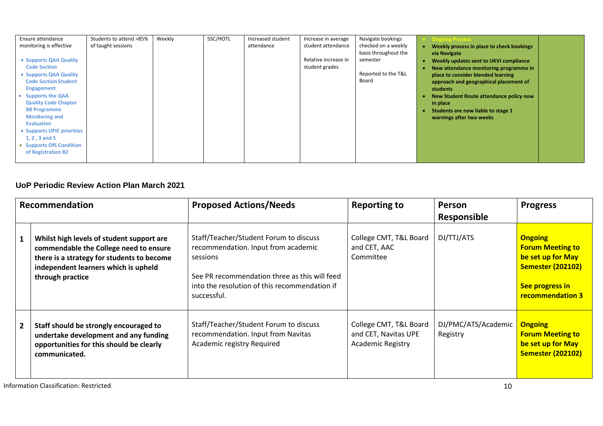| Ensure attendance                             | Students to attend >85% | Weekly | SSC/HOTL | Increased student | Increase in average  | Navigate bookings    | <b>Ongoing Process</b>                                                       |
|-----------------------------------------------|-------------------------|--------|----------|-------------------|----------------------|----------------------|------------------------------------------------------------------------------|
| monitoring is effective                       | of taught sessions      |        |          | attendance        | student attendance   | checked on a weekly  | Weekly process in place to check bookings                                    |
|                                               |                         |        |          |                   | Relative increase in | basis throughout the | via Navigate                                                                 |
| • Supports QAA Quality<br><b>Code Section</b> |                         |        |          |                   | student grades       | semester             | Weekly updates sent to UKVI compliance                                       |
| • Supports QAA Quality                        |                         |        |          |                   |                      | Reported to the T&L  | New attendance monitoring programme in<br>place to consider blended learning |
| <b>Code Section Student</b>                   |                         |        |          |                   |                      | Board                | approach and geographical placement of                                       |
| <b>Engagement</b>                             |                         |        |          |                   |                      |                      | students                                                                     |
| <b>Supports the QAA</b>                       |                         |        |          |                   |                      |                      | New Student Route attendance policy now                                      |
| <b>Quality Code Chapter</b>                   |                         |        |          |                   |                      |                      | in place                                                                     |
| <b>B8 Programme</b><br><b>Monitoring and</b>  |                         |        |          |                   |                      |                      | Students are now liable to stage 1                                           |
| <b>Evaluation</b>                             |                         |        |          |                   |                      |                      | warnings after two weeks                                                     |
| • Supports UPIC priorities                    |                         |        |          |                   |                      |                      |                                                                              |
| 1, 2, 3 and 5                                 |                         |        |          |                   |                      |                      |                                                                              |
| • Supports OfS Condition                      |                         |        |          |                   |                      |                      |                                                                              |
| of Registration B2                            |                         |        |          |                   |                      |                      |                                                                              |
|                                               |                         |        |          |                   |                      |                      |                                                                              |

#### **UoP Periodic Review Action Plan March 2021**

| Recommendation |                                                                                                                                                                                               | <b>Proposed Actions/Needs</b>                                                                                                                                                                              | <b>Reporting to</b>                                                        | Person<br><b>Responsible</b>    | <b>Progress</b>                                                                                                                          |
|----------------|-----------------------------------------------------------------------------------------------------------------------------------------------------------------------------------------------|------------------------------------------------------------------------------------------------------------------------------------------------------------------------------------------------------------|----------------------------------------------------------------------------|---------------------------------|------------------------------------------------------------------------------------------------------------------------------------------|
| $\mathbf{1}$   | Whilst high levels of student support are<br>commendable the College need to ensure<br>there is a strategy for students to become<br>independent learners which is upheld<br>through practice | Staff/Teacher/Student Forum to discuss<br>recommendation. Input from academic<br>sessions<br>See PR recommendation three as this will feed<br>into the resolution of this recommendation if<br>successful. | College CMT, T&L Board<br>and CET, AAC<br>Committee                        | DJ/TTJ/ATS                      | <b>Ongoing</b><br><b>Forum Meeting to</b><br>be set up for May<br><b>Semester (202102)</b><br>See progress in<br><b>recommendation 3</b> |
| $\overline{2}$ | Staff should be strongly encouraged to<br>undertake development and any funding<br>opportunities for this should be clearly<br>communicated.                                                  | Staff/Teacher/Student Forum to discuss<br>recommendation. Input from Navitas<br>Academic registry Required                                                                                                 | College CMT, T&L Board<br>and CET, Navitas UPE<br><b>Academic Registry</b> | DJ/PMC/ATS/Academic<br>Registry | <b>Ongoing</b><br><b>Forum Meeting to</b><br>be set up for May<br><b>Semester (202102)</b>                                               |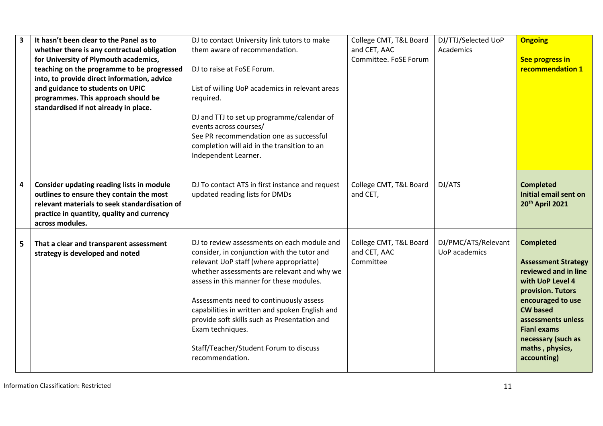|   | It hasn't been clear to the Panel as to<br>whether there is any contractual obligation<br>for University of Plymouth academics,<br>teaching on the programme to be progressed<br>into, to provide direct information, advice<br>and guidance to students on UPIC<br>programmes. This approach should be<br>standardised if not already in place. | DJ to contact University link tutors to make<br>them aware of recommendation.<br>DJ to raise at FoSE Forum.<br>List of willing UoP academics in relevant areas<br>required.<br>DJ and TTJ to set up programme/calendar of<br>events across courses/<br>See PR recommendation one as successful<br>completion will aid in the transition to an<br>Independent Learner.                                                                                          | College CMT, T&L Board<br>and CET, AAC<br>Committee. FoSE Forum | DJ/TTJ/Selected UoP<br>Academics     | <b>Ongoing</b><br>See progress in<br>recommendation 1                                                                                                                                                                                                       |
|---|--------------------------------------------------------------------------------------------------------------------------------------------------------------------------------------------------------------------------------------------------------------------------------------------------------------------------------------------------|----------------------------------------------------------------------------------------------------------------------------------------------------------------------------------------------------------------------------------------------------------------------------------------------------------------------------------------------------------------------------------------------------------------------------------------------------------------|-----------------------------------------------------------------|--------------------------------------|-------------------------------------------------------------------------------------------------------------------------------------------------------------------------------------------------------------------------------------------------------------|
| 4 | Consider updating reading lists in module<br>outlines to ensure they contain the most<br>relevant materials to seek standardisation of<br>practice in quantity, quality and currency<br>across modules.                                                                                                                                          | DJ To contact ATS in first instance and request<br>updated reading lists for DMDs                                                                                                                                                                                                                                                                                                                                                                              | College CMT, T&L Board<br>and CET,                              | DJ/ATS                               | <b>Completed</b><br><b>Initial email sent on</b><br>20th April 2021                                                                                                                                                                                         |
| 5 | That a clear and transparent assessment<br>strategy is developed and noted                                                                                                                                                                                                                                                                       | DJ to review assessments on each module and<br>consider, in conjunction with the tutor and<br>relevant UoP staff (where appropriatte)<br>whether assessments are relevant and why we<br>assess in this manner for these modules.<br>Assessments need to continuously assess<br>capabilities in written and spoken English and<br>provide soft skills such as Presentation and<br>Exam techniques.<br>Staff/Teacher/Student Forum to discuss<br>recommendation. | College CMT, T&L Board<br>and CET, AAC<br>Committee             | DJ/PMC/ATS/Relevant<br>UoP academics | <b>Completed</b><br><b>Assessment Strategy</b><br>reviewed and in line<br>with UoP Level 4<br>provision. Tutors<br>encouraged to use<br><b>CW based</b><br>assessments unless<br><b>Fianl exams</b><br>necessary (such as<br>maths, physics,<br>accounting) |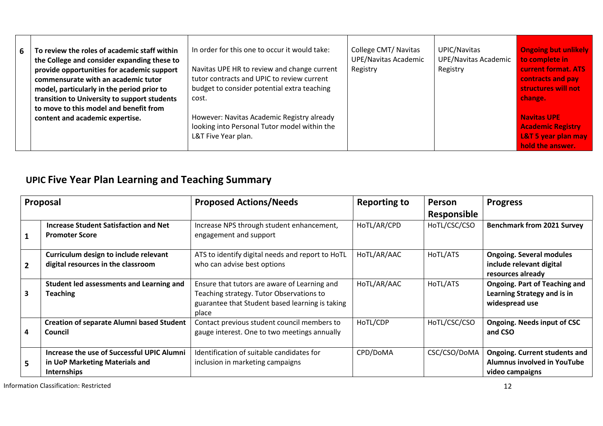| 6 | To review the roles of academic staff within<br>the College and consider expanding these to<br>provide opportunities for academic support<br>commensurate with an academic tutor<br>model, particularly in the period prior to<br>transition to University to support students<br>to move to this model and benefit from | In order for this one to occur it would take:<br>Navitas UPE HR to review and change current<br>tutor contracts and UPIC to review current<br>budget to consider potential extra teaching<br>cost. | College CMT/ Navitas<br><b>UPE/Navitas Academic</b><br>Registry | UPIC/Navitas<br>UPE/Navitas Academic<br>Registry | <b>Ongoing but unlikely</b><br>to complete in<br><b>current format. ATS</b><br>contracts and pay<br>structures will not<br>change. |
|---|--------------------------------------------------------------------------------------------------------------------------------------------------------------------------------------------------------------------------------------------------------------------------------------------------------------------------|----------------------------------------------------------------------------------------------------------------------------------------------------------------------------------------------------|-----------------------------------------------------------------|--------------------------------------------------|------------------------------------------------------------------------------------------------------------------------------------|
|   | content and academic expertise.                                                                                                                                                                                                                                                                                          | However: Navitas Academic Registry already<br>looking into Personal Tutor model within the<br>L&T Five Year plan.                                                                                  |                                                                 |                                                  | <b>Navitas UPE</b><br><b>Academic Registry</b><br><b>L&amp;T 5 year plan may</b><br>hold the answer.                               |

# **UPIC Five Year Plan Learning and Teaching Summary**

| Proposal       |                                                                                             | <b>Proposed Actions/Needs</b>                                                                                                                        | <b>Reporting to</b> | <b>Person</b> | <b>Progress</b>                                                                        |
|----------------|---------------------------------------------------------------------------------------------|------------------------------------------------------------------------------------------------------------------------------------------------------|---------------------|---------------|----------------------------------------------------------------------------------------|
|                |                                                                                             |                                                                                                                                                      |                     | Responsible   |                                                                                        |
|                | <b>Increase Student Satisfaction and Net</b><br><b>Promoter Score</b>                       | Increase NPS through student enhancement,<br>engagement and support                                                                                  | HoTL/AR/CPD         | HoTL/CSC/CSO  | <b>Benchmark from 2021 Survey</b>                                                      |
| $\overline{2}$ | Curriculum design to include relevant<br>digital resources in the classroom                 | ATS to identify digital needs and report to HoTL<br>who can advise best options                                                                      | HoTL/AR/AAC         | HoTL/ATS      | <b>Ongoing. Several modules</b><br>include relevant digital<br>resources already       |
| 3              | Student led assessments and Learning and<br><b>Teaching</b>                                 | Ensure that tutors are aware of Learning and<br>Teaching strategy. Tutor Observations to<br>guarantee that Student based learning is taking<br>place | HoTL/AR/AAC         | HoTL/ATS      | <b>Ongoing. Part of Teaching and</b><br>Learning Strategy and is in<br>widespread use  |
| 4              | <b>Creation of separate Alumni based Student</b><br>Council                                 | Contact previous student council members to<br>gauge interest. One to two meetings annually                                                          | HoTL/CDP            | HoTL/CSC/CSO  | <b>Ongoing. Needs input of CSC</b><br>and CSO                                          |
| 5              | Increase the use of Successful UPIC Alumni<br>in UoP Marketing Materials and<br>Internships | Identification of suitable candidates for<br>inclusion in marketing campaigns                                                                        | CPD/DoMA            | CSC/CSO/DoMA  | <b>Ongoing. Current students and</b><br>Alumnus involved in YouTube<br>video campaigns |